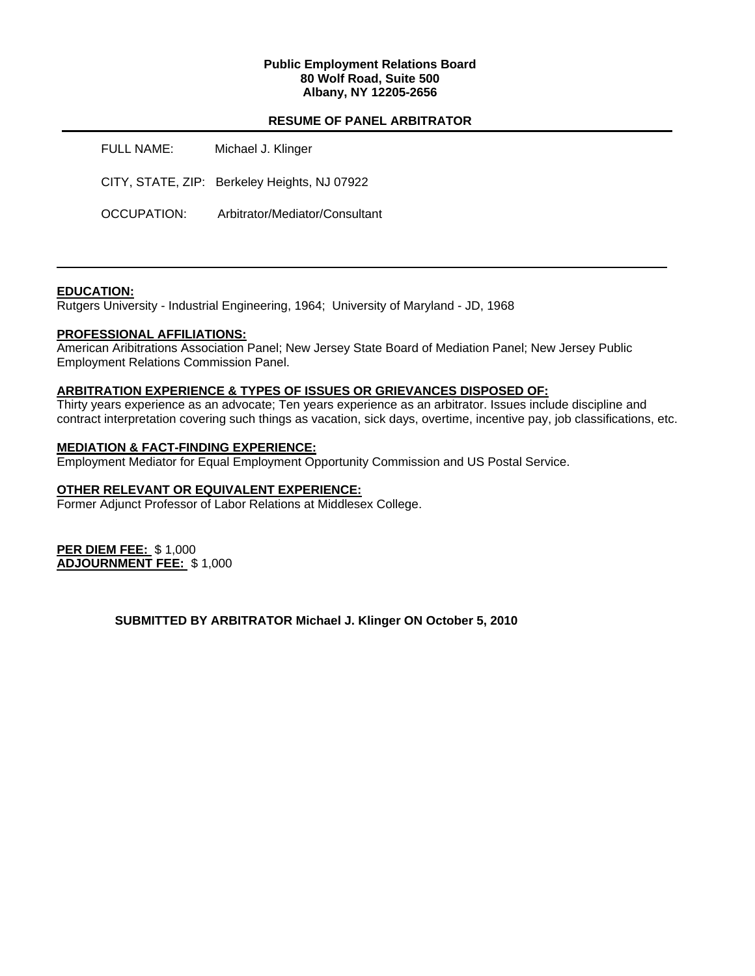## **Public Employment Relations Board 80 Wolf Road, Suite 500 Albany, NY 12205-2656**

## **RESUME OF PANEL ARBITRATOR**

| <b>FULL NAME:</b> | Michael J. Klinger                           |
|-------------------|----------------------------------------------|
|                   | CITY, STATE, ZIP: Berkeley Heights, NJ 07922 |
| OCCUPATION:       | Arbitrator/Mediator/Consultant               |

## **EDUCATION:**

Rutgers University - Industrial Engineering, 1964; University of Maryland - JD, 1968

### **PROFESSIONAL AFFILIATIONS:**

American Aribitrations Association Panel; New Jersey State Board of Mediation Panel; New Jersey Public Employment Relations Commission Panel.

### **ARBITRATION EXPERIENCE & TYPES OF ISSUES OR GRIEVANCES DISPOSED OF:**

Thirty years experience as an advocate; Ten years experience as an arbitrator. Issues include discipline and contract interpretation covering such things as vacation, sick days, overtime, incentive pay, job classifications, etc.

## **MEDIATION & FACT-FINDING EXPERIENCE:**

Employment Mediator for Equal Employment Opportunity Commission and US Postal Service.

## **OTHER RELEVANT OR EQUIVALENT EXPERIENCE:**

Former Adjunct Professor of Labor Relations at Middlesex College.

**PER DIEM FEE:** \$ 1,000 **ADJOURNMENT FEE:** \$ 1,000

**SUBMITTED BY ARBITRATOR Michael J. Klinger ON October 5, 2010**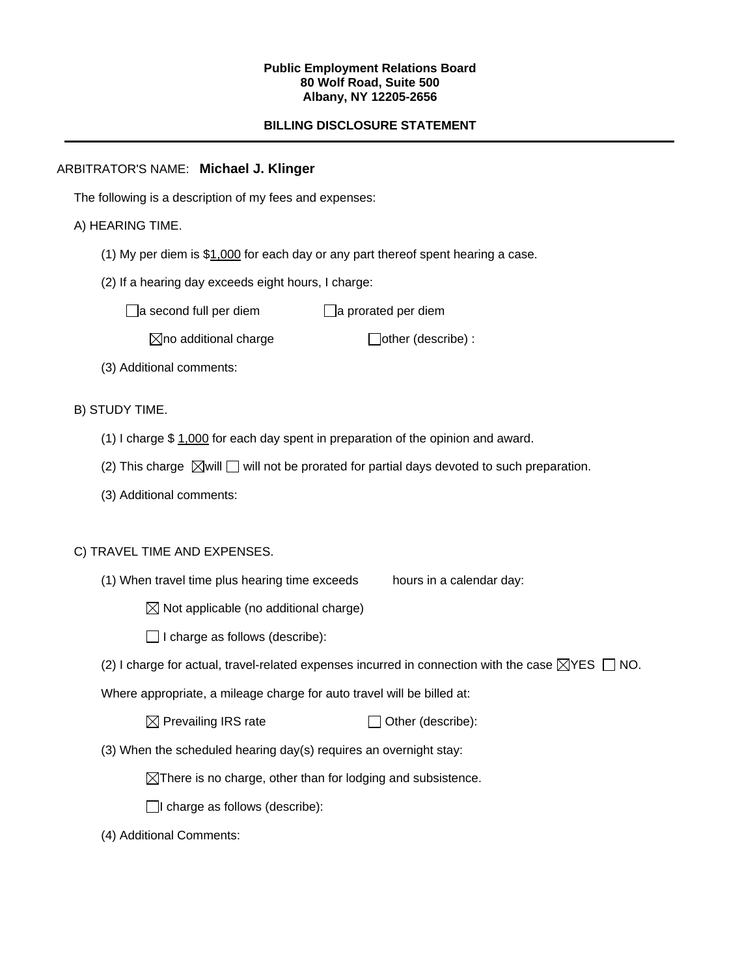### **Public Employment Relations Board 80 Wolf Road, Suite 500 Albany, NY 12205-2656**

# **BILLING DISCLOSURE STATEMENT**

# ARBITRATOR'S NAME: **Michael J. Klinger**

The following is a description of my fees and expenses:

## A) HEARING TIME.

- (1) My per diem is \$1,000 for each day or any part thereof spent hearing a case.
- (2) If a hearing day exceeds eight hours, I charge:

 $\Box$ a second full per diem  $\Box$ a prorated per diem

 $\boxtimes$ no additional charge  $\Box$ other (describe) :

(3) Additional comments:

B) STUDY TIME.

- (1) I charge \$ 1,000 for each day spent in preparation of the opinion and award.
- (2) This charge  $\boxtimes$  will  $\Box$  will not be prorated for partial days devoted to such preparation.
- (3) Additional comments:

## C) TRAVEL TIME AND EXPENSES.

(1) When travel time plus hearing time exceeds hours in a calendar day:

 $\boxtimes$  Not applicable (no additional charge)

 $\Box$  I charge as follows (describe):

(2) I charge for actual, travel-related expenses incurred in connection with the case  $\boxtimes$ YES  $\Box$  NO.

Where appropriate, a mileage charge for auto travel will be billed at:

| $\boxtimes$ Prevailing IRS rate | $\Box$ Other (describe): |
|---------------------------------|--------------------------|
|---------------------------------|--------------------------|

(3) When the scheduled hearing day(s) requires an overnight stay:

 $\boxtimes$ There is no charge, other than for lodging and subsistence.

 $\Box$ I charge as follows (describe):

(4) Additional Comments: